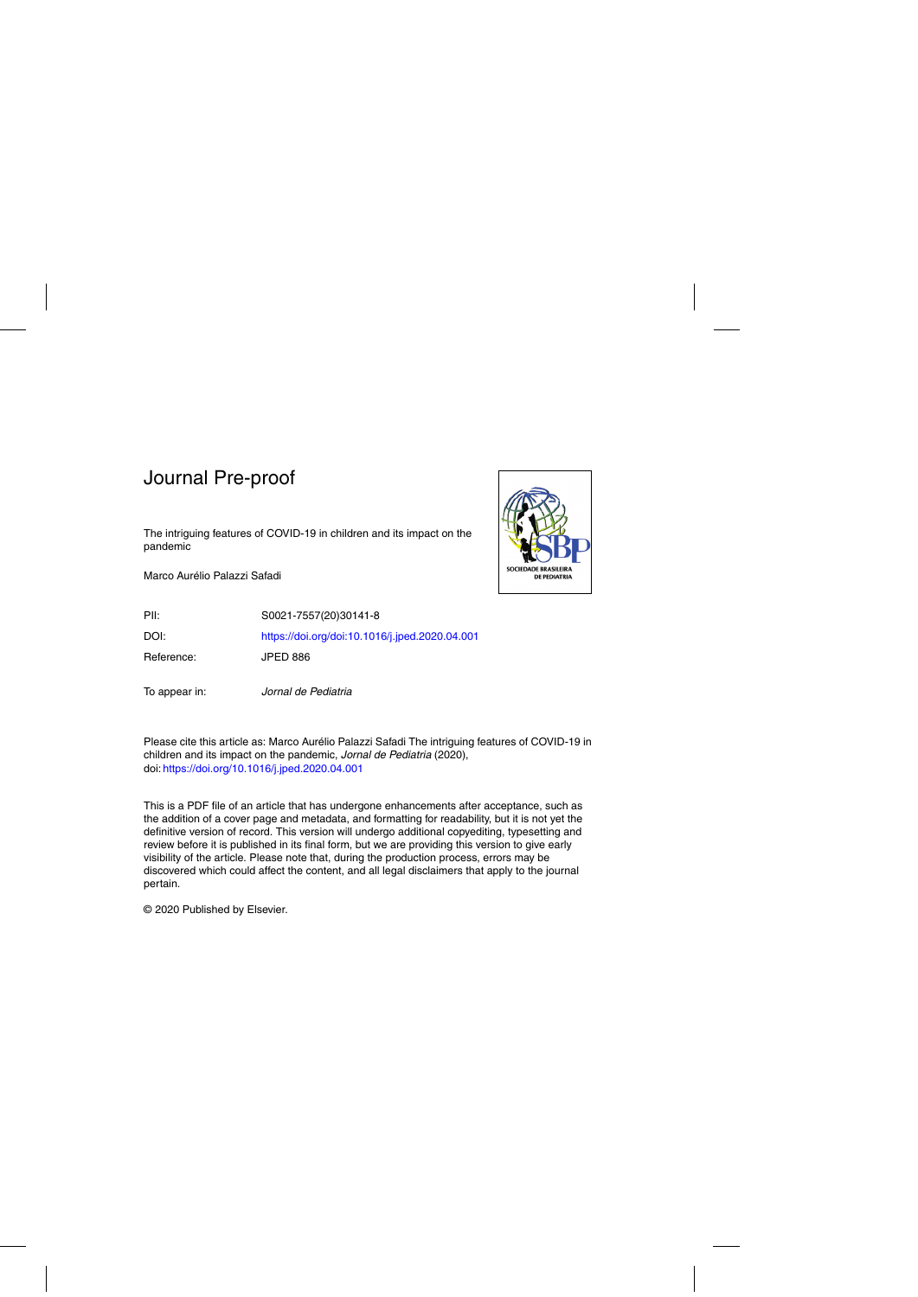The intriguing features of COVID-19 in children and its impact on the pandemic

Marco Aurélio Palazzi Safadi



PII: S0021-7557(20)30141-8 DOI: <https://doi.org/doi:10.1016/j.jped.2020.04.001> Reference: JPED 886

To appear in: Jornal de Pediatria

Please cite this article as: Marco Aurelio Palazzi Safadi The intriguing features of COVID-19 in ´ children and its impact on the pandemic, Jornal de Pediatria (2020), doi: <https://doi.org/10.1016/j.jped.2020.04.001>

This is a PDF file of an article that has undergone enhancements after acceptance, such as the addition of a cover page and metadata, and formatting for readability, but it is not yet the definitive version of record. This version will undergo additional copyediting, typesetting and review before it is published in its final form, but we are providing this version to give early visibility of the article. Please note that, during the production process, errors may be discovered which could affect the content, and all legal disclaimers that apply to the journal pertain.

© 2020 Published by Elsevier.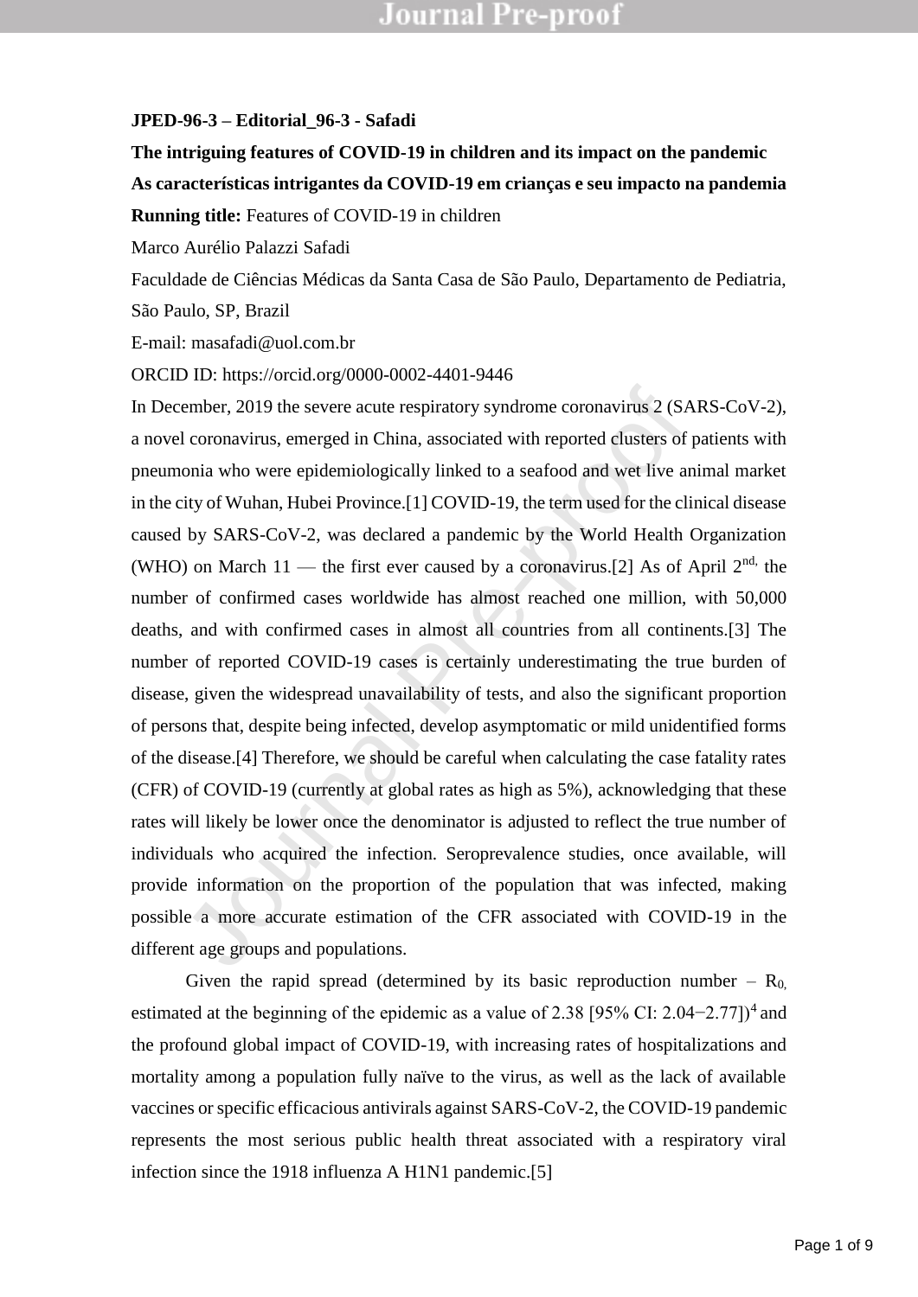#### **JPED-96-3 – Editorial\_96-3 - Safadi**

### **The intriguing features of COVID-19 in children and its impact on the pandemic As características intrigantes da COVID-19 em crianças e seu impacto na pandemia Running title:** Features of COVID-19 in children

Marco Aurélio Palazzi Safadi

Faculdade de Ciências Médicas da Santa Casa de São Paulo, Departamento de Pediatria,

São Paulo, SP, Brazil

E-mail: masafadi@uol.com.br

ORCID ID: https://orcid.org/0000-0002-4401-9446

ember, 2019 the severe acute respiratory syndrome coronavirus 2 (SA I coronavirus, emerged in China, associated with reported clusters of p conia who were epidemiologically linked to a seafood and wet live an eity of Wuhan In December, 2019 the severe acute respiratory syndrome coronavirus 2 (SARS-CoV-2), a novel coronavirus, emerged in China, associated with reported clusters of patients with pneumonia who were epidemiologically linked to a seafood and wet live animal market in the city of Wuhan, Hubei Province.[1] COVID-19, the term used for the clinical disease caused by SARS-CoV-2, was declared a pandemic by the World Health Organization (WHO) on March 11 — the first ever caused by a coronavirus.[2] As of April  $2<sup>nd</sup>$ , the number of confirmed cases worldwide has almost reached one million, with 50,000 deaths, and with confirmed cases in almost all countries from all continents.[3] The number of reported COVID-19 cases is certainly underestimating the true burden of disease, given the widespread unavailability of tests, and also the significant proportion of persons that, despite being infected, develop asymptomatic or mild unidentified forms of the disease.[4] Therefore, we should be careful when calculating the case fatality rates (CFR) of COVID-19 (currently at global rates as high as 5%), acknowledging that these rates will likely be lower once the denominator is adjusted to reflect the true number of individuals who acquired the infection. Seroprevalence studies, once available, will provide information on the proportion of the population that was infected, making possible a more accurate estimation of the CFR associated with COVID-19 in the different age groups and populations.

Given the rapid spread (determined by its basic reproduction number –  $R_0$ , estimated at the beginning of the epidemic as a value of 2.38 [95% CI: 2.04–2.77])<sup>4</sup> and the profound global impact of COVID-19, with increasing rates of hospitalizations and mortality among a population fully naïve to the virus, as well as the lack of available vaccines orspecific efficacious antivirals against SARS-CoV-2, the COVID-19 pandemic represents the most serious public health threat associated with a respiratory viral infection since the 1918 influenza A H1N1 pandemic.[5]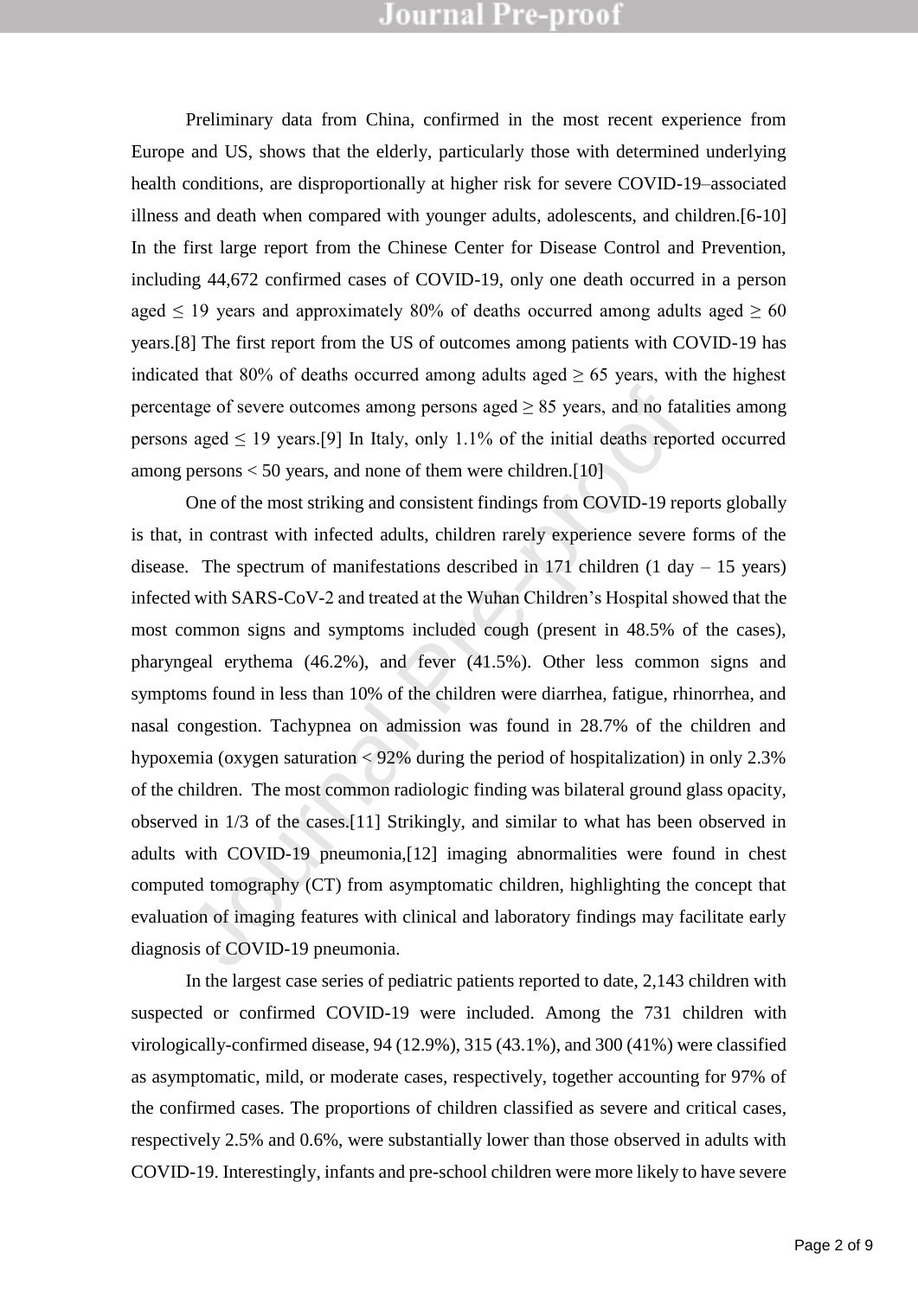Preliminary data from China, confirmed in the most recent experience from Europe and US, shows that the elderly, particularly those with determined underlying health conditions, are disproportionally at higher risk for severe COVID-19–associated illness and death when compared with younger adults, adolescents, and children.[6-10] In the first large report from the Chinese Center for Disease Control and Prevention, including 44,672 confirmed cases of COVID-19, only one death occurred in a person aged  $\leq$  19 years and approximately 80% of deaths occurred among adults aged  $\geq$  60 years.[8] The first report from the US of outcomes among patients with COVID-19 has indicated that 80% of deaths occurred among adults aged  $\geq$  65 years, with the highest percentage of severe outcomes among persons aged  $\geq 85$  years, and no fatalities among persons aged  $\leq$  19 years.[9] In Italy, only 1.1% of the initial deaths reported occurred among persons  $< 50$  years, and none of them were children. [10]

tage of severe outcomes among persons aged  $\geq$  85 years, and no fatal s aged  $\leq$  19 years.[9] In Italy, only 1.1% of the initial deaths report persons < 50 years, and none of them were children.[10] One of the most st One of the most striking and consistent findings from COVID-19 reports globally is that, in contrast with infected adults, children rarely experience severe forms of the disease. The spectrum of manifestations described in 171 children  $(1 \text{ day} - 15 \text{ years})$ infected with SARS-CoV-2 and treated at the Wuhan Children's Hospital showed that the most common signs and symptoms included cough (present in 48.5% of the cases), pharyngeal erythema (46.2%), and fever (41.5%). Other less common signs and symptoms found in less than 10% of the children were diarrhea, fatigue, rhinorrhea, and nasal congestion. Tachypnea on admission was found in 28.7% of the children and hypoxemia (oxygen saturation < 92% during the period of hospitalization) in only 2.3% of the children. The most common radiologic finding was bilateral ground glass opacity, observed in 1/3 of the cases.[11] Strikingly, and similar to what has been observed in adults with COVID-19 pneumonia,[12] imaging abnormalities were found in chest computed tomography (CT) from asymptomatic children, highlighting the concept that evaluation of imaging features with clinical and laboratory findings may facilitate early diagnosis of COVID-19 pneumonia.

In the largest case series of pediatric patients reported to date, 2,143 children with suspected or confirmed COVID-19 were included. Among the 731 children with virologically-confirmed disease, 94 (12.9%), 315 (43.1%), and 300 (41%) were classified as asymptomatic, mild, or moderate cases, respectively, together accounting for 97% of the confirmed cases. The proportions of children classified as severe and critical cases, respectively 2.5% and 0.6%, were substantially lower than those observed in adults with COVID-19. Interestingly, infants and pre-school children were more likely to have severe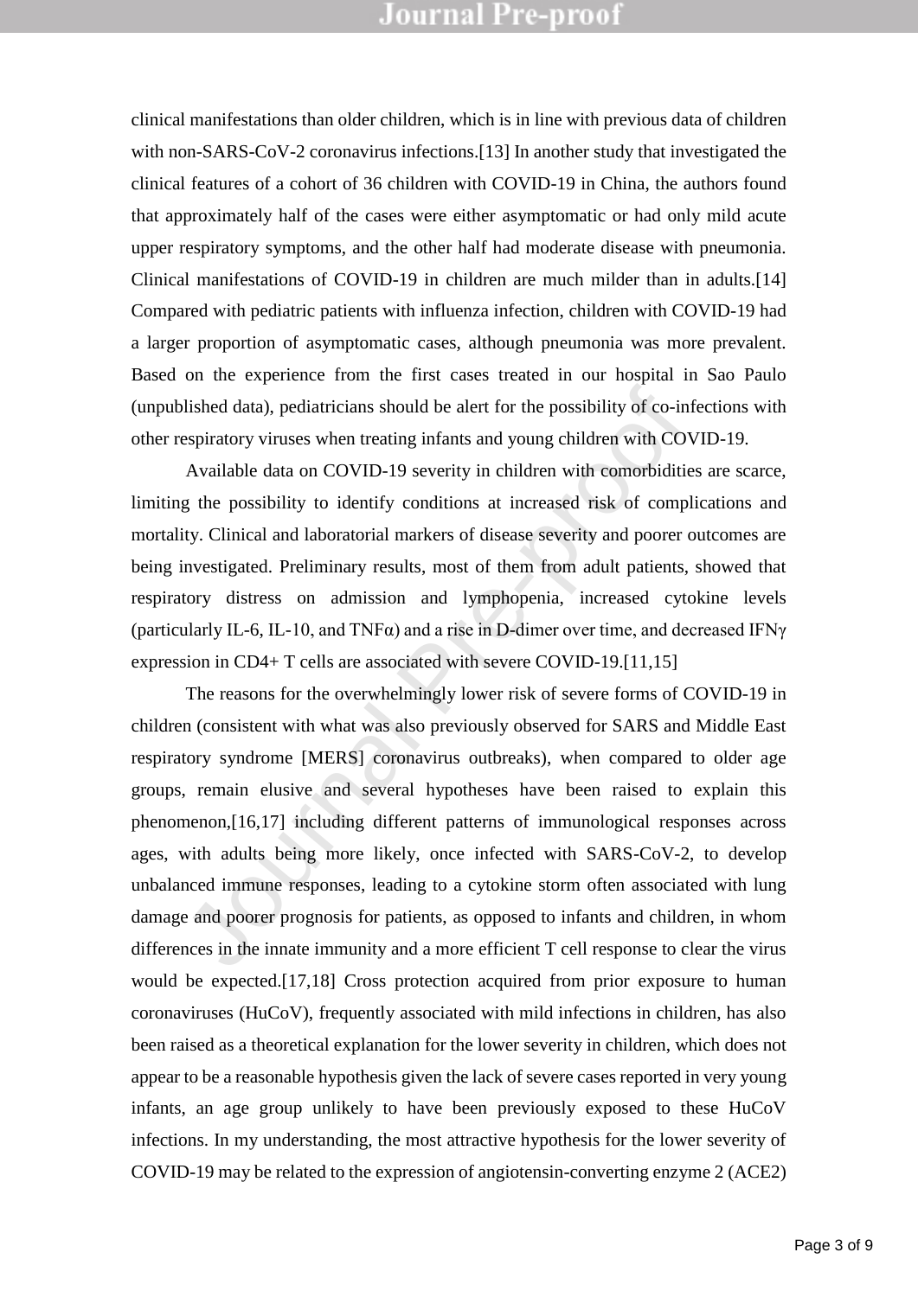clinical manifestations than older children, which is in line with previous data of children with non-SARS-CoV-2 coronavirus infections.[13] In another study that investigated the clinical features of a cohort of 36 children with COVID-19 in China, the authors found that approximately half of the cases were either asymptomatic or had only mild acute upper respiratory symptoms, and the other half had moderate disease with pneumonia. Clinical manifestations of COVID-19 in children are much milder than in adults.[14] Compared with pediatric patients with influenza infection, children with COVID-19 had a larger proportion of asymptomatic cases, although pneumonia was more prevalent. Based on the experience from the first cases treated in our hospital in Sao Paulo (unpublished data), pediatricians should be alert for the possibility of co-infections with other respiratory viruses when treating infants and young children with COVID-19.

Available data on COVID-19 severity in children with comorbidities are scarce, limiting the possibility to identify conditions at increased risk of complications and mortality. Clinical and laboratorial markers of disease severity and poorer outcomes are being investigated. Preliminary results, most of them from adult patients, showed that respiratory distress on admission and lymphopenia, increased cytokine levels (particularly IL-6, IL-10, and TNF $\alpha$ ) and a rise in D-dimer over time, and decreased IFN $\gamma$ expression in CD4+ T cells are associated with severe COVID-19.[11,15]

blished data), pediatricians should be alert for the possibility of co-inf<br>espiratory viruses when treating infants and young children with COV<br>Available data on COVID-19 severity in children with comorbiditie-<br>g the poss The reasons for the overwhelmingly lower risk of severe forms of COVID-19 in children (consistent with what was also previously observed for SARS and Middle East respiratory syndrome [MERS] coronavirus outbreaks), when compared to older age groups, remain elusive and several hypotheses have been raised to explain this phenomenon,[16,17] including different patterns of immunological responses across ages, with adults being more likely, once infected with SARS-CoV-2, to develop unbalanced immune responses, leading to a cytokine storm often associated with lung damage and poorer prognosis for patients, as opposed to infants and children, in whom differences in the innate immunity and a more efficient T cell response to clear the virus would be expected.[17,18] Cross protection acquired from prior exposure to human coronaviruses (HuCoV), frequently associated with mild infections in children, has also been raised as a theoretical explanation for the lower severity in children, which does not appear to be a reasonable hypothesis given the lack of severe cases reported in very young infants, an age group unlikely to have been previously exposed to these HuCoV infections. In my understanding, the most attractive hypothesis for the lower severity of COVID-19 may be related to the expression of angiotensin-converting enzyme 2 (ACE2)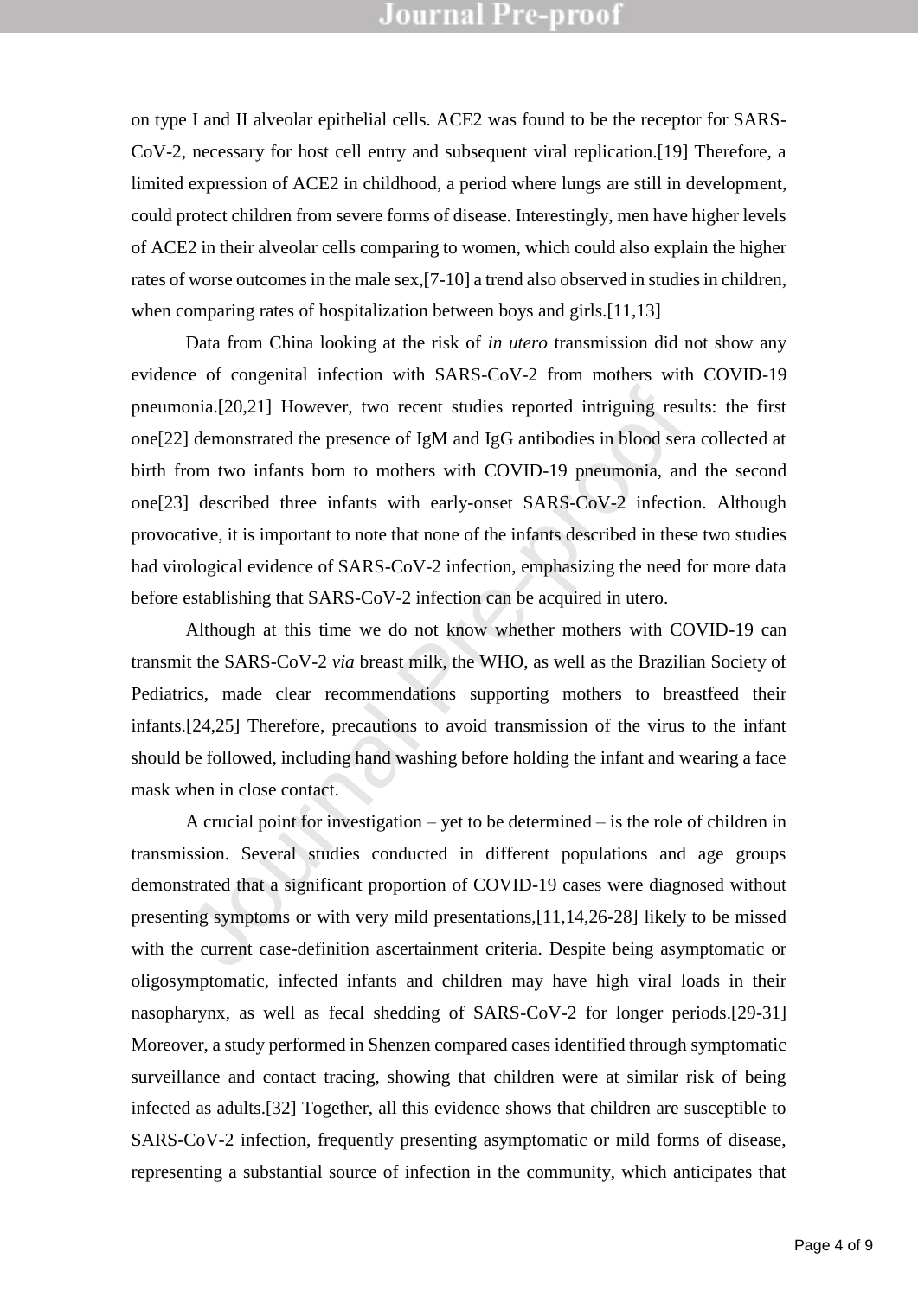on type I and II alveolar epithelial cells. ACE2 was found to be the receptor for SARS-CoV-2, necessary for host cell entry and subsequent viral replication.[19] Therefore, a limited expression of ACE2 in childhood, a period where lungs are still in development, could protect children from severe forms of disease. Interestingly, men have higher levels of ACE2 in their alveolar cells comparing to women, which could also explain the higher rates of worse outcomes in the male sex,[7-10] a trend also observed in studies in children, when comparing rates of hospitalization between boys and girls.<sup>[11,13]</sup>

ionia.[20,21] However, two recent studies reported intriguing resules and the presence of IgM and IgG antibodies in blood servem two infants born to mothers with COVID-19 pneumonia, and IJ described three infants with ear Data from China looking at the risk of *in utero* transmission did not show any evidence of congenital infection with SARS-CoV-2 from mothers with COVID-19 pneumonia.[20,21] However, two recent studies reported intriguing results: the first one[22] demonstrated the presence of IgM and IgG antibodies in blood sera collected at birth from two infants born to mothers with COVID-19 pneumonia, and the second one[23] described three infants with early-onset SARS-CoV-2 infection. Although provocative, it is important to note that none of the infants described in these two studies had virological evidence of SARS-CoV-2 infection, emphasizing the need for more data before establishing that SARS-CoV-2 infection can be acquired in utero.

Although at this time we do not know whether mothers with COVID-19 can transmit the SARS-CoV-2 *via* breast milk, the WHO, as well as the Brazilian Society of Pediatrics, made clear recommendations supporting mothers to breastfeed their infants.[24,25] Therefore, precautions to avoid transmission of the virus to the infant should be followed, including hand washing before holding the infant and wearing a face mask when in close contact.

A crucial point for investigation – yet to be determined – is the role of children in transmission. Several studies conducted in different populations and age groups demonstrated that a significant proportion of COVID-19 cases were diagnosed without presenting symptoms or with very mild presentations,[11,14,26-28] likely to be missed with the current case-definition ascertainment criteria. Despite being asymptomatic or oligosymptomatic, infected infants and children may have high viral loads in their nasopharynx, as well as fecal shedding of SARS-CoV-2 for longer periods.[29-31] Moreover, a study performed in Shenzen compared cases identified through symptomatic surveillance and contact tracing, showing that children were at similar risk of being infected as adults.[32] Together, all this evidence shows that children are susceptible to SARS-CoV-2 infection, frequently presenting asymptomatic or mild forms of disease, representing a substantial source of infection in the community, which anticipates that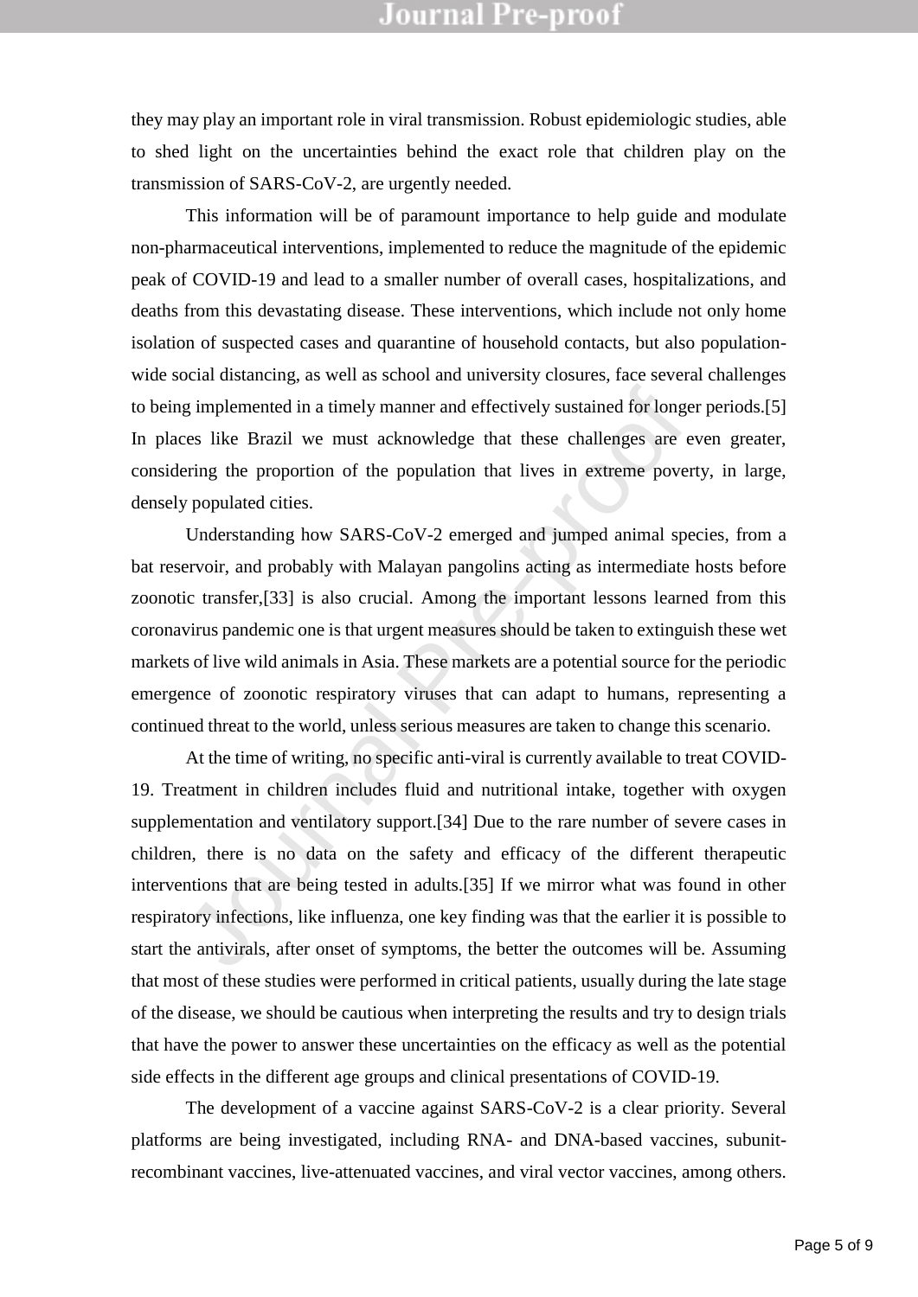they may play an important role in viral transmission. Robust epidemiologic studies, able to shed light on the uncertainties behind the exact role that children play on the transmission of SARS-CoV-2, are urgently needed.

This information will be of paramount importance to help guide and modulate non-pharmaceutical interventions, implemented to reduce the magnitude of the epidemic peak of COVID-19 and lead to a smaller number of overall cases, hospitalizations, and deaths from this devastating disease. These interventions, which include not only home isolation of suspected cases and quarantine of household contacts, but also populationwide social distancing, as well as school and university closures, face several challenges to being implemented in a timely manner and effectively sustained for longer periods.[5] In places like Brazil we must acknowledge that these challenges are even greater, considering the proportion of the population that lives in extreme poverty, in large, densely populated cities.

Understanding how SARS-CoV-2 emerged and jumped animal species, from a bat reservoir, and probably with Malayan pangolins acting as intermediate hosts before zoonotic transfer,[33] is also crucial. Among the important lessons learned from this coronavirus pandemic one is that urgent measures should be taken to extinguish these wet markets of live wild animals in Asia. These markets are a potential source for the periodic emergence of zoonotic respiratory viruses that can adapt to humans, representing a continued threat to the world, unless serious measures are taken to change this scenario.

ig implemented in a timely manner and effectively sustained for longeres like Brazil we must acknowledge that these challenges are evering the proportion of the population that lives in extreme pover y populated cities. Un At the time of writing, no specific anti-viral is currently available to treat COVID-19. Treatment in children includes fluid and nutritional intake, together with oxygen supplementation and ventilatory support.[34] Due to the rare number of severe cases in children, there is no data on the safety and efficacy of the different therapeutic interventions that are being tested in adults.[35] If we mirror what was found in other respiratory infections, like influenza, one key finding was that the earlier it is possible to start the antivirals, after onset of symptoms, the better the outcomes will be. Assuming that most of these studies were performed in critical patients, usually during the late stage of the disease, we should be cautious when interpreting the results and try to design trials that have the power to answer these uncertainties on the efficacy as well as the potential side effects in the different age groups and clinical presentations of COVID-19.

The development of a vaccine against SARS-CoV-2 is a clear priority. Several platforms are being investigated, including RNA- and DNA-based vaccines, subunitrecombinant vaccines, live-attenuated vaccines, and viral vector vaccines, among others.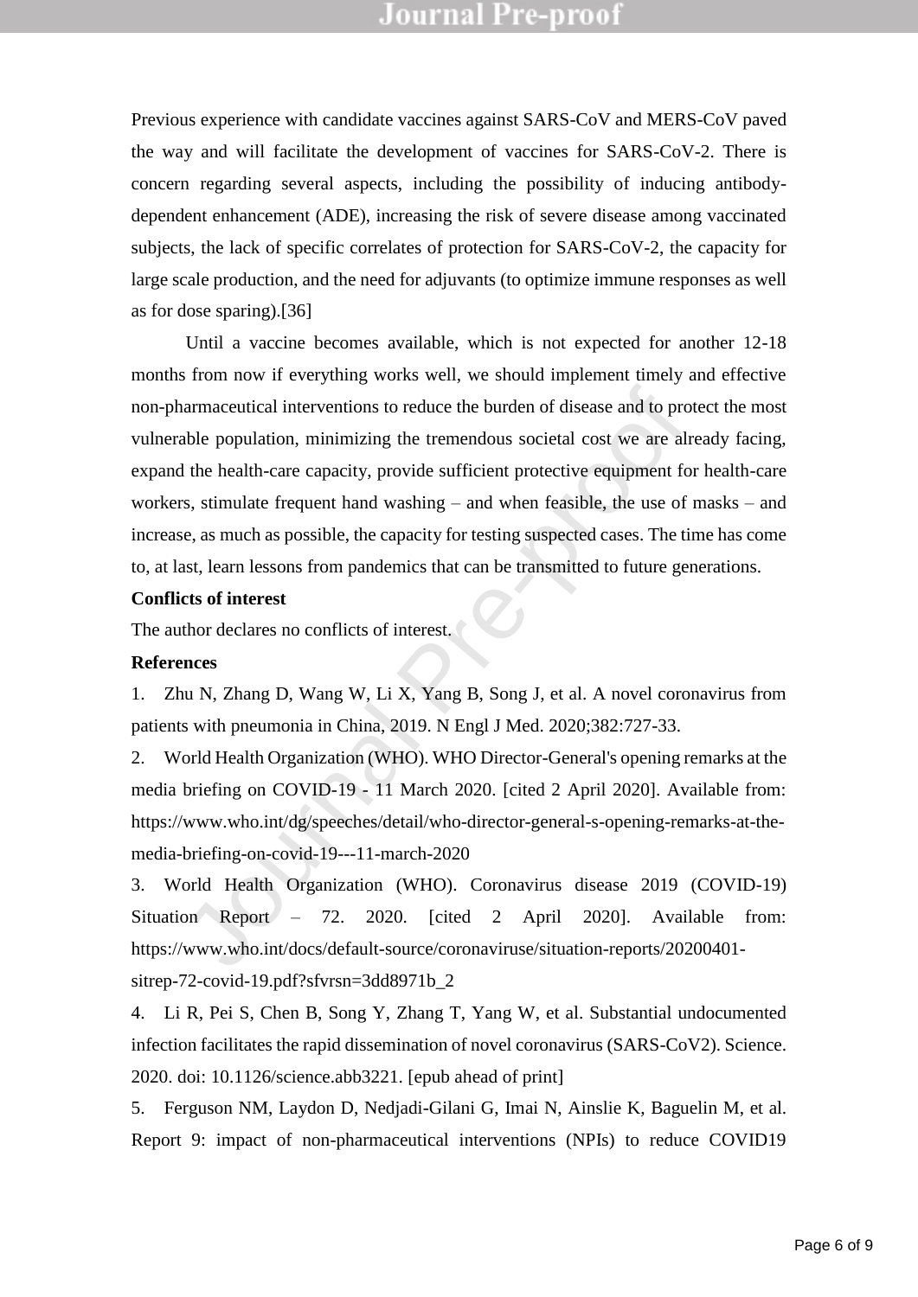Previous experience with candidate vaccines against SARS-CoV and MERS-CoV paved the way and will facilitate the development of vaccines for SARS-CoV-2. There is concern regarding several aspects, including the possibility of inducing antibodydependent enhancement (ADE), increasing the risk of severe disease among vaccinated subjects, the lack of specific correlates of protection for SARS-CoV-2, the capacity for large scale production, and the need for adjuvants (to optimize immune responses as well as for dose sparing).[36]

narmaceutical interventions to reduce the burden of disease and to protable population, minimizing the tremendous societal cost we are alreable population, minimizing the tremendous societal cost we are alreable the health Until a vaccine becomes available, which is not expected for another 12-18 months from now if everything works well, we should implement timely and effective non-pharmaceutical interventions to reduce the burden of disease and to protect the most vulnerable population, minimizing the tremendous societal cost we are already facing, expand the health-care capacity, provide sufficient protective equipment for health-care workers, stimulate frequent hand washing – and when feasible, the use of masks – and increase, as much as possible, the capacity for testing suspected cases. The time has come to, at last, learn lessons from pandemics that can be transmitted to future generations.

#### **Conflicts of interest**

The author declares no conflicts of interest.

#### **References**

1. Zhu N, Zhang D, Wang W, Li X, Yang B, Song J, et al. A novel coronavirus from patients with pneumonia in China, 2019. N Engl J Med. 2020;382:727-33.

2. World Health Organization (WHO). WHO Director-General's opening remarks at the media briefing on COVID-19 - 11 March 2020. [cited 2 April 2020]. Available from: https://www.who.int/dg/speeches/detail/who-director-general-s-opening-remarks-at-themedia-briefing-on-covid-19---11-march-2020

3. World Health Organization (WHO). Coronavirus disease 2019 (COVID-19) Situation Report – 72. 2020. [cited 2 April 2020]. Available from: https://www.who.int/docs/default-source/coronaviruse/situation-reports/20200401 sitrep-72-covid-19.pdf?sfvrsn=3dd8971b\_2

4. Li R, Pei S, Chen B, Song Y, Zhang T, Yang W, et al. Substantial undocumented infection facilitates the rapid dissemination of novel coronavirus (SARS-CoV2). Science. 2020. doi: 10.1126/science.abb3221. [epub ahead of print]

5. Ferguson NM, Laydon D, Nedjadi-Gilani G, Imai N, Ainslie K, Baguelin M, et al. Report 9: impact of non-pharmaceutical interventions (NPIs) to reduce COVID19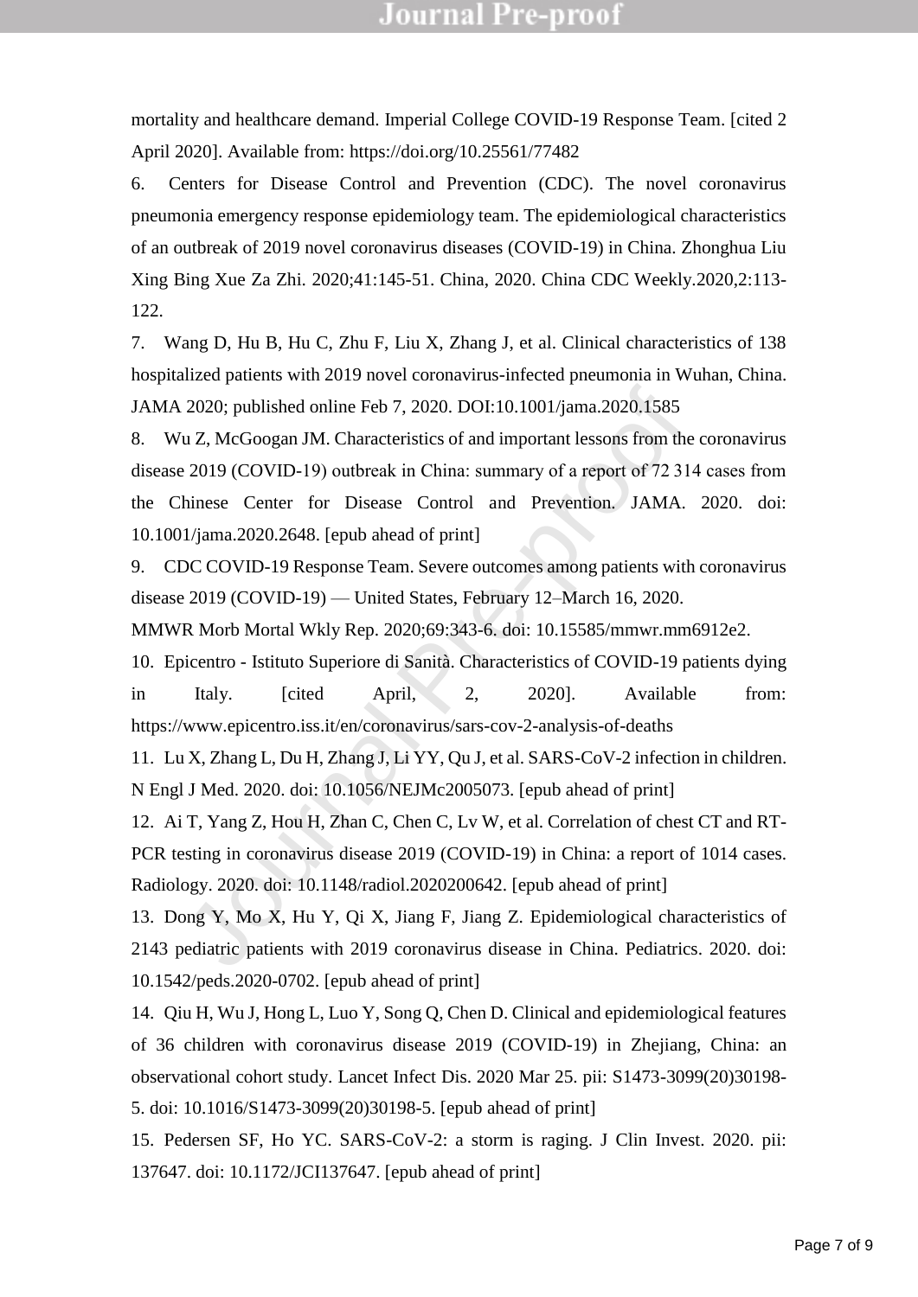mortality and healthcare demand. Imperial College COVID-19 Response Team. [cited 2 April 2020]. Available from: https://doi.org/10.25561/77482

6. Centers for Disease Control and Prevention (CDC). The novel coronavirus pneumonia emergency response epidemiology team. The epidemiological characteristics of an outbreak of 2019 novel coronavirus diseases (COVID-19) in China. Zhonghua Liu Xing Bing Xue Za Zhi. 2020;41:145-51. China, 2020. China CDC Weekly.2020,2:113- 122.

7. Wang D, Hu B, Hu C, Zhu F, Liu X, Zhang J, et al. Clinical characteristics of 138 hospitalized patients with 2019 novel coronavirus-infected pneumonia in Wuhan, China. JAMA 2020; published online Feb 7, 2020. DOI:10.1001/jama.2020.1585

2020; published online Feb 7, 2020. DOI:10.1001/jama.2020.1585<br>
10 Z, McGoogan JM. Characteristics of and important lessons from the<br>
2019 (COVID-19) outbreak in China: summary of a report of 72 314<br>
hinese Center for Dis 8. Wu Z, McGoogan JM. Characteristics of and important lessons from the coronavirus disease 2019 (COVID-19) outbreak in China: summary of a report of 72 314 cases from the Chinese Center for Disease Control and Prevention. JAMA. 2020. doi: 10.1001/jama.2020.2648. [epub ahead of print]

9. CDC COVID-19 Response Team. Severe outcomes among patients with coronavirus disease 2019 (COVID-19) — United States, February 12–March 16, 2020.

MMWR Morb Mortal Wkly Rep. 2020;69:343-6. doi: 10.15585/mmwr.mm6912e2.

10. Epicentro - Istituto Superiore di Sanità. Characteristics of COVID-19 patients dying in Italy. [cited April, 2, 2020]. Available from: https://www.epicentro.iss.it/en/coronavirus/sars-cov-2-analysis-of-deaths

11. Lu X, Zhang L, Du H, Zhang J, Li YY, Qu J, et al. SARS-CoV-2 infection in children. N Engl J Med. 2020. doi: 10.1056/NEJMc2005073. [epub ahead of print]

12. Ai T, Yang Z, Hou H, Zhan C, Chen C, Lv W, et al. Correlation of chest CT and RT-PCR testing in coronavirus disease 2019 (COVID-19) in China: a report of 1014 cases. Radiology. 2020. doi: 10.1148/radiol.2020200642. [epub ahead of print]

13. Dong Y, Mo X, Hu Y, Qi X, Jiang F, Jiang Z. Epidemiological characteristics of 2143 pediatric patients with 2019 coronavirus disease in China. Pediatrics. 2020. doi: 10.1542/peds.2020-0702. [epub ahead of print]

14. Qiu H, Wu J, Hong L, Luo Y, Song Q, Chen D. Clinical and epidemiological features of 36 children with coronavirus disease 2019 (COVID-19) in Zhejiang, China: an observational cohort study. Lancet Infect Dis. 2020 Mar 25. pii: S1473-3099(20)30198- 5. doi: 10.1016/S1473-3099(20)30198-5. [epub ahead of print]

15. Pedersen SF, Ho YC. SARS-CoV-2: a storm is raging. J Clin Invest. 2020. pii: 137647. doi: 10.1172/JCI137647. [epub ahead of print]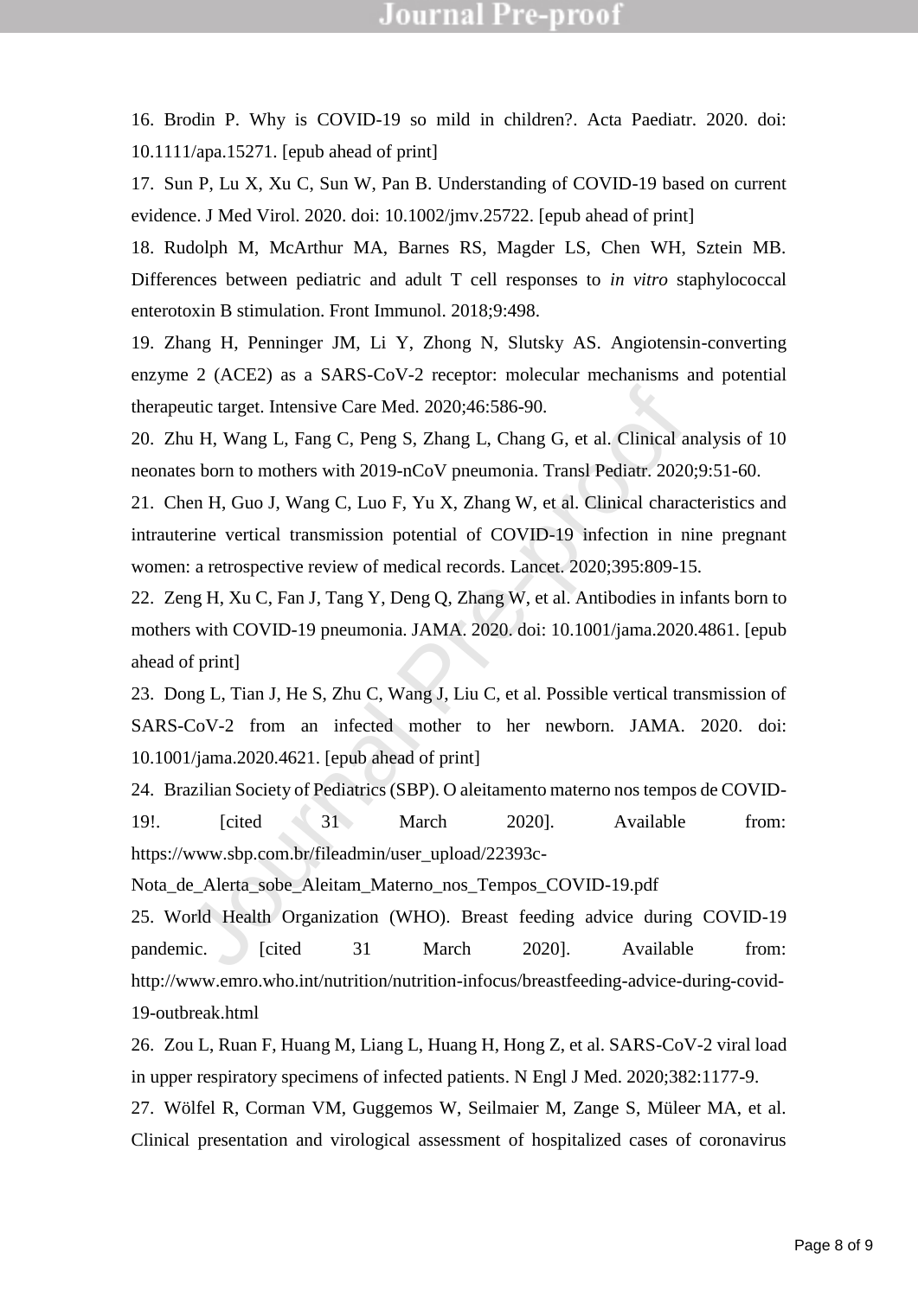16. Brodin P. Why is COVID-19 so mild in children?. Acta Paediatr. 2020. doi: 10.1111/apa.15271. [epub ahead of print]

17. Sun P, Lu X, Xu C, Sun W, Pan B. Understanding of COVID-19 based on current evidence. J Med Virol. 2020. doi: 10.1002/jmv.25722. [epub ahead of print]

18. Rudolph M, McArthur MA, Barnes RS, Magder LS, Chen WH, Sztein MB. Differences between pediatric and adult T cell responses to *in vitro* staphylococcal enterotoxin B stimulation. Front Immunol. 2018;9:498.

19. Zhang H, Penninger JM, Li Y, Zhong N, Slutsky AS. Angiotensin-converting enzyme 2 (ACE2) as a SARS-CoV-2 receptor: molecular mechanisms and potential therapeutic target. Intensive Care Med. 2020;46:586-90.

20. Zhu H, Wang L, Fang C, Peng S, Zhang L, Chang G, et al. Clinical analysis of 10 neonates born to mothers with 2019-nCoV pneumonia. Transl Pediatr. 2020;9:51-60.

21. Chen H, Guo J, Wang C, Luo F, Yu X, Zhang W, et al. Clinical characteristics and intrauterine vertical transmission potential of COVID-19 infection in nine pregnant women: a retrospective review of medical records. Lancet. 2020;395:809-15.

eutic target. Intensive Care Med. 2020;46:586-90.<br>
uu H, Wang L, Fang C, Peng S, Zhang L, Chang G, et al. Clinical an<br>
es born to mothers with 2019-nCoV pneumonia. Transl Pediatr. 2020;<br>
hen H, Guo J, Wang C, Luo F, Yu X, 22. Zeng H, Xu C, Fan J, Tang Y, Deng Q, Zhang W, et al. Antibodies in infants born to mothers with COVID-19 pneumonia. JAMA. 2020. doi: 10.1001/jama.2020.4861. [epub ahead of print]

23. Dong L, Tian J, He S, Zhu C, Wang J, Liu C, et al. Possible vertical transmission of SARS-CoV-2 from an infected mother to her newborn. JAMA. 2020. doi: 10.1001/jama.2020.4621. [epub ahead of print]

24. Brazilian Society of Pediatrics (SBP). O aleitamento materno nos tempos de COVID-19!. [cited 31 March 2020]. Available from: https://www.sbp.com.br/fileadmin/user\_upload/22393c-

Nota de Alerta sobe Aleitam Materno nos Tempos COVID-19.pdf

25. World Health Organization (WHO). Breast feeding advice during COVID-19 pandemic. Cited 31 March 2020]. Available from: http://www.emro.who.int/nutrition/nutrition-infocus/breastfeeding-advice-during-covid-19-outbreak.html

26. Zou L, Ruan F, Huang M, Liang L, Huang H, Hong Z, et al. SARS-CoV-2 viral load in upper respiratory specimens of infected patients. N Engl J Med. 2020;382:1177-9.

27. Wölfel R, Corman VM, Guggemos W, Seilmaier M, Zange S, Müleer MA, et al. Clinical presentation and virological assessment of hospitalized cases of coronavirus